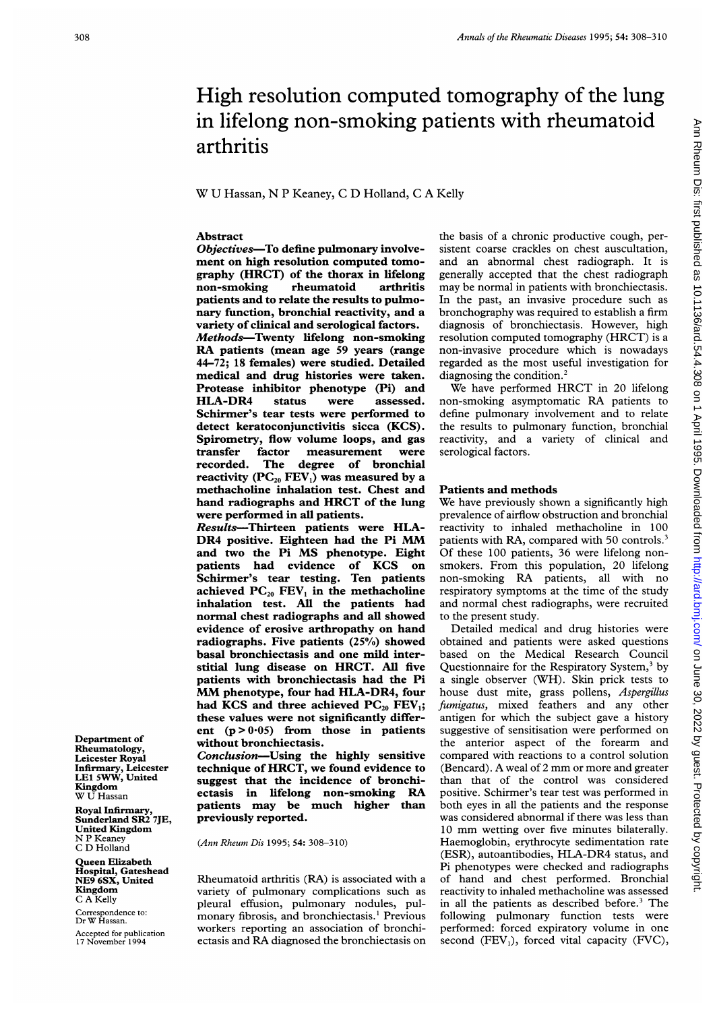# High resolution computed tomography of the lung in lifelong non-smoking patients with rheumatoid arthritis

W U Hassan, N <sup>P</sup> Keaney, <sup>C</sup> D Holland, <sup>C</sup> <sup>A</sup> Kelly

## Abstract

Objectives-To define pulmonary involvement on high resolution computed tomography (HRCT) of the thorax in lifelong non-smoking rheumatoid arthritis patients and to relate the results to pulmonary function, bronchial reactivity, and a variety of clinical and serological factors. Methods-Twenty lifelong non-smoking RA patients (mean age <sup>59</sup> years (range 44-72; 18 females) were studied. Detailed medical and drug histories were taken. Protease inhibitor phenotype (Pi) and HLA-DR4 status were assessed. Schirmer's tear tests were performed to detect keratoconjunctivitis sicca (KCS). Spirometry, flow volume loops, and gas transfer factor measurement were degree of bronchial reactivity  $(PC_{20} FEV_1)$  was measured by a methacholine inhalation test. Chest and hand radiographs and HRCT of the lung were performed in all patients.

Results-Thirteen patients were HLA-DR4 positive. Eighteen had the Pi MM and two the Pi MS phenotype. Eight patients had evidence of KCS on Schirmer's tear testing. Ten patients achieved  $PC_{20}$  FEV<sub>1</sub> in the methacholine inhalation test. All the patients had normal chest radiographs and all showed evidence of erosive arthropathy on hand radiographs. Five patients (25%) showed basal bronchiectasis and one mild interstitial lung disease on HRCT. All five patients with bronchiectasis had the Pi MM phenotype, four had HLA-DR4, four had KCS and three achieved  $PC_{20}$  FEV<sub>1</sub>; these values were not significantly different  $(p > 0.05)$  from those in patients without bronchiectasis.

Conclusion-Using the highly sensitive technique of HRCT, we found evidence to suggest that the incidence of bronchiectasis in lifelong non-smoking RA patients may be much higher than previously reported.

(Ann Rheum Dis 1995; 54: 308-310)

Rheumatoid arthritis (RA) is associated with a variety of pulmonary complications such as pleural effusion, pulmonary nodules, pulmonary fibrosis, and bronchiectasis.<sup>1</sup> Previous workers reporting an association of bronchiectasis and RA diagnosed the bronchiectasis on the basis of a chronic productive cough, persistent coarse crackles on chest auscultation, and an abnormal chest radiograph. It is generally accepted that the chest radiograph may be normal in patients with bronchiectasis. In the past, an invasive procedure such as bronchography was required to establish a firm diagnosis of bronchiectasis. However, high resolution computed tomography (HRCT) is <sup>a</sup> non-invasive procedure which is nowadays regarded as the most useful investigation for diagnosing the condition.<sup>2</sup>

We have performed HRCT in <sup>20</sup> lifelong non-smoking asymptomatic RA patients to define pulmonary involvement and to relate the results to pulmonary function, bronchial reactivity, and a variety of clinical and serological factors.

## Patients and methods

We have previously shown a significantly high prevalence of airflow obstruction and bronchial reactivity to inhaled methacholine in 100 patients with RA, compared with 50 controls.<sup>3</sup> Of these 100 patients, 36 were lifelong nonsmokers. From this population, 20 lifelong non-smoking RA patients, all with no respiratory symptoms at the time of the study and normal chest radiographs, were recruited to the present study.

Detailed medical and drug histories were obtained and patients were asked questions based on the Medical Research Council Questionnaire for the Respiratory System,<sup>3</sup> by a single observer (WH). Skin prick tests to house dust mite, grass pollens, Aspergillus fumigatus, mixed feathers and any other antigen for which the subject gave a history suggestive of sensitisation were performed on the anterior aspect of the forearm and compared with reactions to a control solution (Bencard). A weal of <sup>2</sup> mm or more and greater than that of the control was considered positive. Schirmer's tear test was performed in both eyes in all the patients and the response was considered abnormal if there was less than <sup>10</sup> mm wetting over five minutes bilaterally. Haemoglobin, erythrocyte sedimentation rate (ESR), autoantibodies, HLA-DR4 status, and Pi phenotypes were checked and radiographs of hand and chest performed. Bronchial reactivity to inhaled methacholine was assessed in all the patients as described before.<sup>3</sup> The following pulmonary function tests were performed: forced expiratory volume in one second  $(FEV_1)$ , forced vital capacity  $(FVC)$ ,

Department of Rheumatology, Leicester Royal Infirmary, Leicester LEI SWW, United **Kingdom**<br>W U Hassan

Royal Infirmary, Sunderland SR2 7JE, United Kingdom N P Keaney C D Holland

Queen Elizabeth Hospital, Gateshead NE9 6SX, United Kingdom C A Kelly

Correspondence to: Dr W Hassan.

Accepted for publication 17 November 1994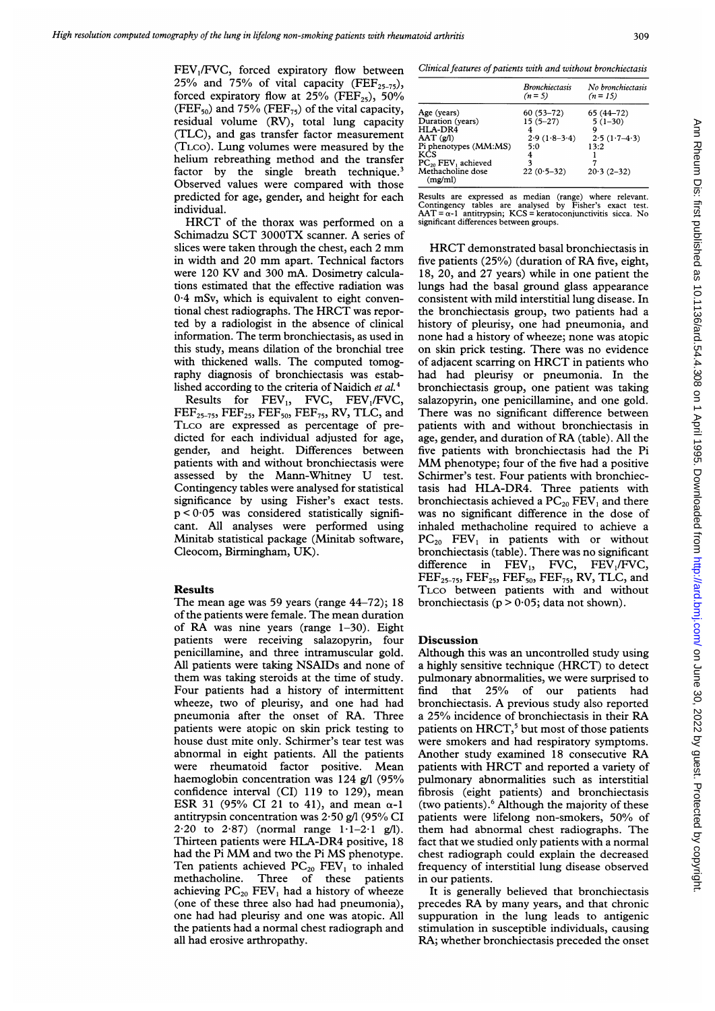FEV,/FVC, forced expiratory flow between 25% and 75% of vital capacity (FEF<sub>25-75</sub>), forced expiratory flow at  $25%$  (FEF<sub>25</sub>), 50% (FEF $_{50}$ ) and 75% (FEF $_{75}$ ) of the vital capacity, residual volume (RV), total lung capacity (TLC), and gas transfer factor measurement (TLCO). Lung volumes were measured by the helium rebreathing method and the transfer factor by the single breath technique.<sup>3</sup> Observed values were compared with those predicted for age, gender, and height for each individual.

HRCT of the thorax was performed on <sup>a</sup> Schimadzu SCT 3000TX scanner. A series of slices were taken through the chest, each <sup>2</sup> mm in width and <sup>20</sup> mm apart. Technical factors were <sup>120</sup> KV and 300 mA. Dosimetry calculations estimated that the effective radiation was 0 4 mSv, which is equivalent to eight conventional chest radiographs. The HRCT was reported by a radiologist in the absence of clinical information. The term bronchiectasis, as used in this study, means dilation of the bronchial tree with thickened walls. The computed tomography diagnosis of bronchiectasis was established according to the criteria of Naidich et al.<sup>4</sup>

Results for  $FEV_1$ , FVC,  $FEV_1/FVC$ ,  $\rm{FEF}_{25-75}$ ,  $\rm{FEF}_{25}$ ,  $\rm{FEF}_{50}$ ,  $\rm{FEF}_{75}$ , RV, TLC, and TLCO are expressed as percentage of predicted for each individual adjusted for age, gender, and height. Differences between patients with and without bronchiectasis were assessed by the Mann-Whitney U test. Contingency tables were analysed for statistical significance by using Fisher's exact tests.  $p < 0.05$  was considered statistically significant. All analyses were performed using Minitab statistical package (Minitab software, Cleocom, Birmingham, UK).

### Results

The mean age was 59 years (range 44-72); 18 of the patients were female. The mean duration of RA was nine years (range 1-30). Eight patients were receiving salazopyrin, four penicillamine, and three intramuscular gold. All patients were taking NSAIDs and none of them was taking steroids at the time of study. Four patients had a history of intermittent wheeze, two of pleurisy, and one had had pneumonia after the onset of RA. Three patients were atopic on skin prick testing to house dust mite only. Schirmer's tear test was abnormal in eight patients. All the patients were rheumatoid factor positive. Mean haemoglobin concentration was 124 g/l (95% confidence interval (CI) 119 to 129), mean ESR 31 (95% CI 21 to 41), and mean  $\alpha$ -1 antitrypsin concentration was 2-50 g/l (95% CI 2.20 to 2.87) (normal range  $1.1-2.1$  g/l). Thirteen patients were HLA-DR4 positive, <sup>18</sup> had the Pi MM and two the Pi MS phenotype. Ten patients achieved  $PC_{20}$   $FEV_1$  to inhaled methacholine. Three of these patients achieving  $PC_{20}$  FEV<sub>1</sub> had a history of wheeze (one of these three also had had pneumonia), one had had pleurisy and one was atopic. All the patients had a normal chest radiograph and all had erosive arthropathy.

Clinical features of patients with and without bronchiectasis

|                                                                                                                                                                           | <b>Bronchiectasis</b><br>$(n=5)$                                             | No bronchiectasis<br>$(n = 15)$                                          |
|---------------------------------------------------------------------------------------------------------------------------------------------------------------------------|------------------------------------------------------------------------------|--------------------------------------------------------------------------|
| Age (years)<br>Duration (years)<br>HLA-DR4<br>$AAT$ $(g/l)$<br>Pi phenotypes (MM:MS)<br>KCS<br>PC <sub>20</sub> FEV <sub>1</sub> achieved<br>Methacholine dose<br>(mg/ml) | $60(53-72)$<br>$15(5-27)$<br>4<br>$2.9(1.8-3.4)$<br>5:0<br>4<br>$22(0.5-32)$ | 65 (44-72)<br>$5(1-30)$<br>Q<br>$2.5(1.7-4.3)$<br>13:2<br>$20.3(2 - 32)$ |

Results are expressed as median (range) where relevant. Contingency tables are analysed by Fisher's exact test. AAT = cs-I antitrypsin; KCS = keratoconjunctivitis sicca. No significant differences between groups.

HRCT demonstrated basal bronchiectasis in five patients (25%) (duration of RA five, eight, 18, 20, and 27 years) while in one patient the lungs had the basal ground glass appearance consistent with mild interstitial lung disease. In the bronchiectasis group, two patients had a history of pleurisy, one had pneumonia, and none had a history of wheeze; none was atopic on skin prick testing. There was no evidence of adjacent scarring on HRCT in patients who had had pleurisy or pneumonia. In the bronchiectasis group, one patient was taking salazopyrin, one penicillamine, and one gold. There was no significant difference between patients with and without bronchiectasis in age, gender, and duration of RA (table). All the five patients with bronchiectasis had the Pi MM phenotype; four of the five had <sup>a</sup> positive Schirmer's test. Four patients with bronchiectasis had HLA-DR4. Three patients with bronchiectasis achieved a  $PC_{20}$  FEV<sub>1</sub> and there was no significant difference in the dose of inhaled methacholine required to achieve a  $PC_{20}$  FEV<sub>1</sub> in patients with or without bronchiectasis (table). There was no significant difference in  $FEV_1$ , FVC,  $FEV_1/FVC$ ,  $\text{FEF}_{25-75}$ ,  $\text{FEF}_{25}$ ,  $\text{FEF}_{50}$ ,  $\text{FEF}_{75}$ , RV, TLC, and TLCO between patients with and without bronchiectasis ( $p > 0.05$ ; data not shown).

### Discussion

Although this was an uncontrolled study using <sup>a</sup> highly sensitive technique (HRCT) to detect pulmonary abnormalities, we were surprised to find that 25% of our patients had bronchiectasis. A previous study also reported <sup>a</sup> 25% incidence of bronchiectasis in their RA patients on HRCT,<sup>5</sup> but most of those patients were smokers and had respiratory symptoms. Another study examined <sup>18</sup> consecutive RA patients with HRCT and reported <sup>a</sup> variety of pulmonary abnormalities such as interstitial fibrosis (eight patients) and bronchiectasis (two patients).6 Although the majority of these patients were lifelong non-smokers, 50% of them had abnormal chest radiographs. The fact that we studied only patients with a normal chest radiograph could explain the decreased frequency of interstitial lung disease observed in our patients.

It is generally believed that bronchiectasis precedes RA by many years, and that chronic suppuration in the lung leads to antigenic stimulation in susceptible individuals, causing RA; whether bronchiectasis preceded the onset